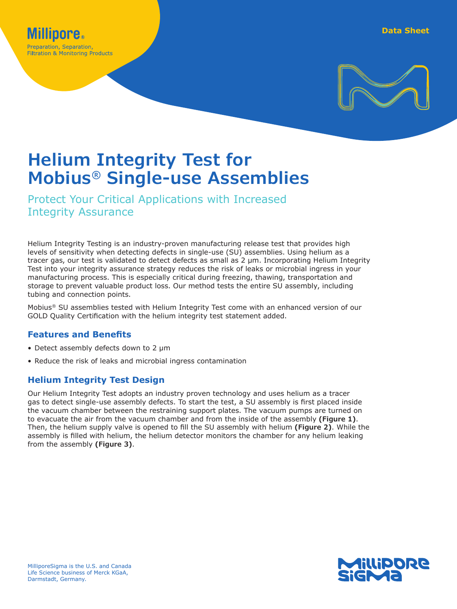

# **Helium Integrity Test for Mobius® Single-use Assemblies**

Protect Your Critical Applications with Increased Integrity Assurance

Helium Integrity Testing is an industry-proven manufacturing release test that provides high levels of sensitivity when detecting defects in single-use (SU) assemblies. Using helium as a tracer gas, our test is validated to detect defects as small as 2 μm. Incorporating Helium Integrity Test into your integrity assurance strategy reduces the risk of leaks or microbial ingress in your manufacturing process. This is especially critical during freezing, thawing, transportation and storage to prevent valuable product loss. Our method tests the entire SU assembly, including tubing and connection points.

Mobius® SU assemblies tested with Helium Integrity Test come with an enhanced version of our GOLD Quality Certification with the helium integrity test statement added.

## **Features and Benefits**

- Detect assembly defects down to 2 μm
- Reduce the risk of leaks and microbial ingress contamination

# **Helium Integrity Test Design**

Our Helium Integrity Test adopts an industry proven technology and uses helium as a tracer gas to detect single-use assembly defects. To start the test, a SU assembly is first placed inside the vacuum chamber between the restraining support plates. The vacuum pumps are turned on to evacuate the air from the vacuum chamber and from the inside of the assembly **(Figure 1)**. Then, the helium supply valve is opened to fill the SU assembly with helium **(Figure 2)**. While the assembly is filled with helium, the helium detector monitors the chamber for any helium leaking from the assembly **(Figure 3)**.

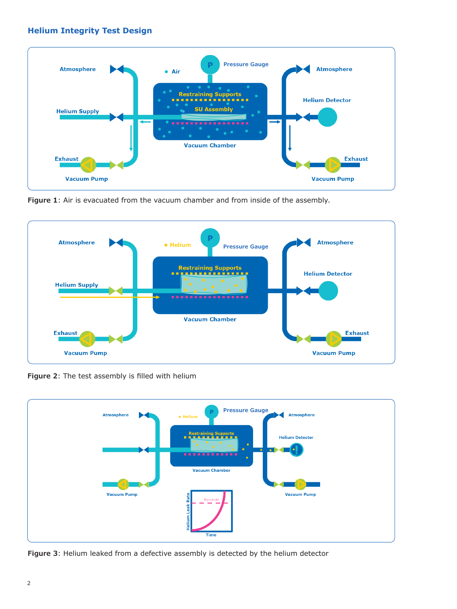## **Helium Integrity Test Design**



**Figure 1**: Air is evacuated from the vacuum chamber and from inside of the assembly.



**Figure 2**: The test assembly is filled with helium



**Figure 3**: Helium leaked from a defective assembly is detected by the helium detector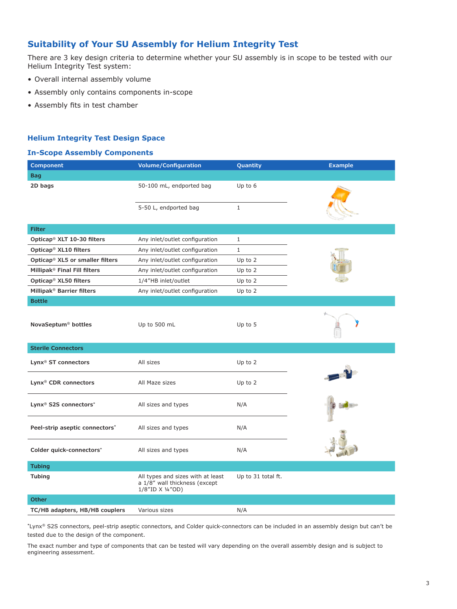## **Suitability of Your SU Assembly for Helium Integrity Test**

There are 3 key design criteria to determine whether your SU assembly is in scope to be tested with our Helium Integrity Test system:

- Overall internal assembly volume
- Assembly only contains components in-scope
- Assembly fits in test chamber

### **Helium Integrity Test Design Space**

#### **In-Scope Assembly Components**

| <b>Component</b>                              | <b>Volume/Configuration</b>                                                            | Quantity           | <b>Example</b> |
|-----------------------------------------------|----------------------------------------------------------------------------------------|--------------------|----------------|
| <b>Bag</b>                                    |                                                                                        |                    |                |
| 2D bags                                       | 50-100 mL, endported bag                                                               | Up to 6            |                |
|                                               | 5-50 L, endported bag                                                                  | $\mathbf{1}$       |                |
| <b>Filter</b>                                 |                                                                                        |                    |                |
| Opticap <sup>®</sup> XLT 10-30 filters        | Any inlet/outlet configuration                                                         | $\mathbf{1}$       |                |
| Opticap <sup>®</sup> XL10 filters             | Any inlet/outlet configuration                                                         | $\mathbf{1}$       |                |
| Opticap® XL5 or smaller filters               | Any inlet/outlet configuration                                                         | Up to 2            |                |
| Millipak <sup>®</sup> Final Fill filters      | Any inlet/outlet configuration                                                         | Up to 2            |                |
| Opticap <sup>®</sup> XL50 filters             | 1/4"HB inlet/outlet                                                                    | Up to $2$          |                |
| Millipak <sup>®</sup> Barrier filters         | Any inlet/outlet configuration                                                         | Up to $2$          |                |
| <b>Bottle</b>                                 |                                                                                        |                    |                |
| NovaSeptum <sup>®</sup> bottles               | Up to 500 mL                                                                           | Up to 5            |                |
| <b>Sterile Connectors</b>                     |                                                                                        |                    |                |
| Lynx <sup>®</sup> ST connectors               | All sizes                                                                              | Up to 2            |                |
| Lynx <sup>®</sup> CDR connectors              | All Maze sizes                                                                         | Up to $2$          |                |
| Lynx <sup>®</sup> S2S connectors <sup>*</sup> | All sizes and types                                                                    | N/A                |                |
| Peel-strip aseptic connectors*                | All sizes and types                                                                    | N/A                |                |
| Colder quick-connectors*                      | All sizes and types                                                                    | N/A                |                |
| <b>Tubing</b>                                 |                                                                                        |                    |                |
| <b>Tubing</b>                                 | All types and sizes with at least<br>a 1/8" wall thickness (except<br>1/8"ID X 1/4"OD) | Up to 31 total ft. |                |
| <b>Other</b>                                  |                                                                                        |                    |                |
| TC/HB adapters, HB/HB couplers                | Various sizes                                                                          | N/A                |                |

**\***Lynx® S2S connectors, peel-strip aseptic connectors, and Colder quick-connectors can be included in an assembly design but can't be tested due to the design of the component.

The exact number and type of components that can be tested will vary depending on the overall assembly design and is subject to engineering assessment.